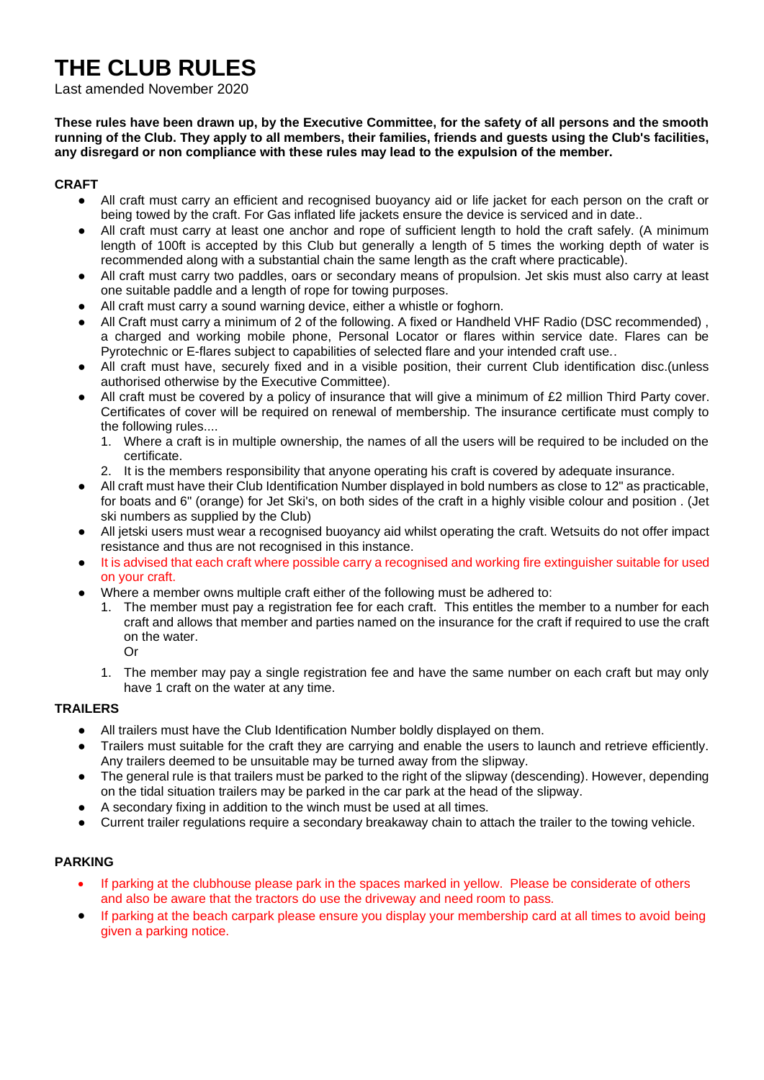# **THE CLUB RULES**

#### Last amended November 2020

**These rules have been drawn up, by the Executive Committee, for the safety of all persons and the smooth running of the Club. They apply to all members, their families, friends and guests using the Club's facilities, any disregard or non compliance with these rules may lead to the expulsion of the member.**

# **CRAFT**

- All craft must carry an efficient and recognised buoyancy aid or life jacket for each person on the craft or being towed by the craft. For Gas inflated life jackets ensure the device is serviced and in date..
- All craft must carry at least one anchor and rope of sufficient length to hold the craft safely. (A minimum length of 100ft is accepted by this Club but generally a length of 5 times the working depth of water is recommended along with a substantial chain the same length as the craft where practicable).
- All craft must carry two paddles, oars or secondary means of propulsion. Jet skis must also carry at least one suitable paddle and a length of rope for towing purposes.
- All craft must carry a sound warning device, either a whistle or foghorn.
- All Craft must carry a minimum of 2 of the following. A fixed or Handheld VHF Radio (DSC recommended), a charged and working mobile phone, Personal Locator or flares within service date. Flares can be Pyrotechnic or E-flares subject to capabilities of selected flare and your intended craft use..
- All craft must have, securely fixed and in a visible position, their current Club identification disc. (unless authorised otherwise by the Executive Committee).
- All craft must be covered by a policy of insurance that will give a minimum of £2 million Third Party cover. Certificates of cover will be required on renewal of membership. The insurance certificate must comply to the following rules....
	- 1. Where a craft is in multiple ownership, the names of all the users will be required to be included on the certificate.
	- 2. It is the members responsibility that anyone operating his craft is covered by adequate insurance.
- All craft must have their Club Identification Number displayed in bold numbers as close to 12" as practicable, for boats and 6" (orange) for Jet Ski's, on both sides of the craft in a highly visible colour and position . (Jet ski numbers as supplied by the Club)
- All jetski users must wear a recognised buoyancy aid whilst operating the craft. Wetsuits do not offer impact resistance and thus are not recognised in this instance.
- It is advised that each craft where possible carry a recognised and working fire extinguisher suitable for used on your craft.
- Where a member owns multiple craft either of the following must be adhered to:
	- 1. The member must pay a registration fee for each craft. This entitles the member to a number for each craft and allows that member and parties named on the insurance for the craft if required to use the craft on the water.
		- Or
	- 1. The member may pay a single registration fee and have the same number on each craft but may only have 1 craft on the water at any time.

# **TRAILERS**

- All trailers must have the Club Identification Number boldly displayed on them.
- Trailers must suitable for the craft they are carrying and enable the users to launch and retrieve efficiently. Any trailers deemed to be unsuitable may be turned away from the slipway.
- The general rule is that trailers must be parked to the right of the slipway (descending). However, depending on the tidal situation trailers may be parked in the car park at the head of the slipway.
- A secondary fixing in addition to the winch must be used at all times.
- Current trailer regulations require a secondary breakaway chain to attach the trailer to the towing vehicle.

#### **PARKING**

- If parking at the clubhouse please park in the spaces marked in yellow. Please be considerate of others and also be aware that the tractors do use the driveway and need room to pass.
- If parking at the beach carpark please ensure you display your membership card at all times to avoid being given a parking notice.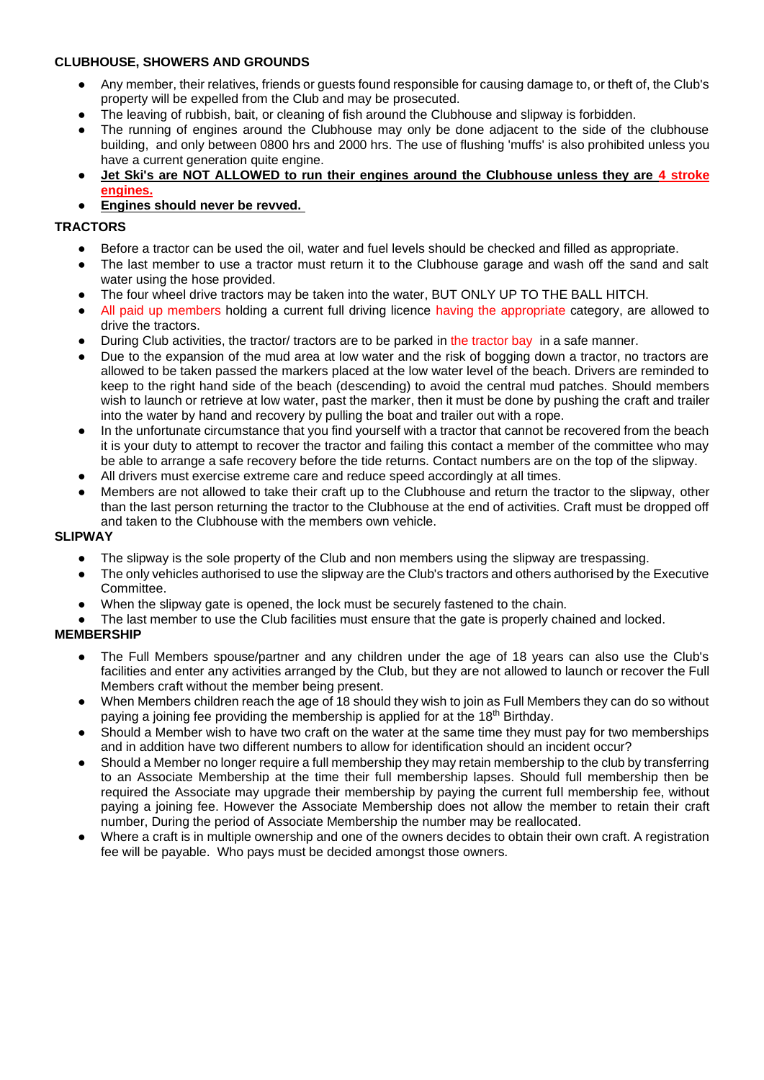# **CLUBHOUSE, SHOWERS AND GROUNDS**

- Any member, their relatives, friends or guests found responsible for causing damage to, or theft of, the Club's property will be expelled from the Club and may be prosecuted.
- The leaving of rubbish, bait, or cleaning of fish around the Clubhouse and slipway is forbidden.
- The running of engines around the Clubhouse may only be done adjacent to the side of the clubhouse building, and only between 0800 hrs and 2000 hrs. The use of flushing 'muffs' is also prohibited unless you have a current generation quite engine.
- Jet Ski's are NOT ALLOWED to run their engines around the Clubhouse unless they are 4 stroke **engines.**
- **Engines should never be revved.**

#### **TRACTORS**

- Before a tractor can be used the oil, water and fuel levels should be checked and filled as appropriate.
- The last member to use a tractor must return it to the Clubhouse garage and wash off the sand and salt water using the hose provided.
- The four wheel drive tractors may be taken into the water, BUT ONLY UP TO THE BALL HITCH.
- All paid up members holding a current full driving licence having the appropriate category, are allowed to drive the tractors.
- During Club activities, the tractor/ tractors are to be parked in the tractor bay in a safe manner.
- Due to the expansion of the mud area at low water and the risk of bogging down a tractor, no tractors are allowed to be taken passed the markers placed at the low water level of the beach. Drivers are reminded to keep to the right hand side of the beach (descending) to avoid the central mud patches. Should members wish to launch or retrieve at low water, past the marker, then it must be done by pushing the craft and trailer into the water by hand and recovery by pulling the boat and trailer out with a rope.
- In the unfortunate circumstance that you find yourself with a tractor that cannot be recovered from the beach it is your duty to attempt to recover the tractor and failing this contact a member of the committee who may be able to arrange a safe recovery before the tide returns. Contact numbers are on the top of the slipway.
- All drivers must exercise extreme care and reduce speed accordingly at all times.
- Members are not allowed to take their craft up to the Clubhouse and return the tractor to the slipway, other than the last person returning the tractor to the Clubhouse at the end of activities. Craft must be dropped off and taken to the Clubhouse with the members own vehicle.

# **SLIPWAY**

- The slipway is the sole property of the Club and non members using the slipway are trespassing.
- The only vehicles authorised to use the slipway are the Club's tractors and others authorised by the Executive Committee.
- When the slipway gate is opened, the lock must be securely fastened to the chain.
- The last member to use the Club facilities must ensure that the gate is properly chained and locked.

# **MEMBERSHIP**

- The Full Members spouse/partner and any children under the age of 18 years can also use the Club's facilities and enter any activities arranged by the Club, but they are not allowed to launch or recover the Full Members craft without the member being present.
- When Members children reach the age of 18 should they wish to join as Full Members they can do so without paying a joining fee providing the membership is applied for at the 18<sup>th</sup> Birthday.
- Should a Member wish to have two craft on the water at the same time they must pay for two memberships and in addition have two different numbers to allow for identification should an incident occur?
- Should a Member no longer require a full membership they may retain membership to the club by transferring to an Associate Membership at the time their full membership lapses. Should full membership then be required the Associate may upgrade their membership by paying the current full membership fee, without paying a joining fee. However the Associate Membership does not allow the member to retain their craft number, During the period of Associate Membership the number may be reallocated.
- Where a craft is in multiple ownership and one of the owners decides to obtain their own craft. A registration fee will be payable. Who pays must be decided amongst those owners.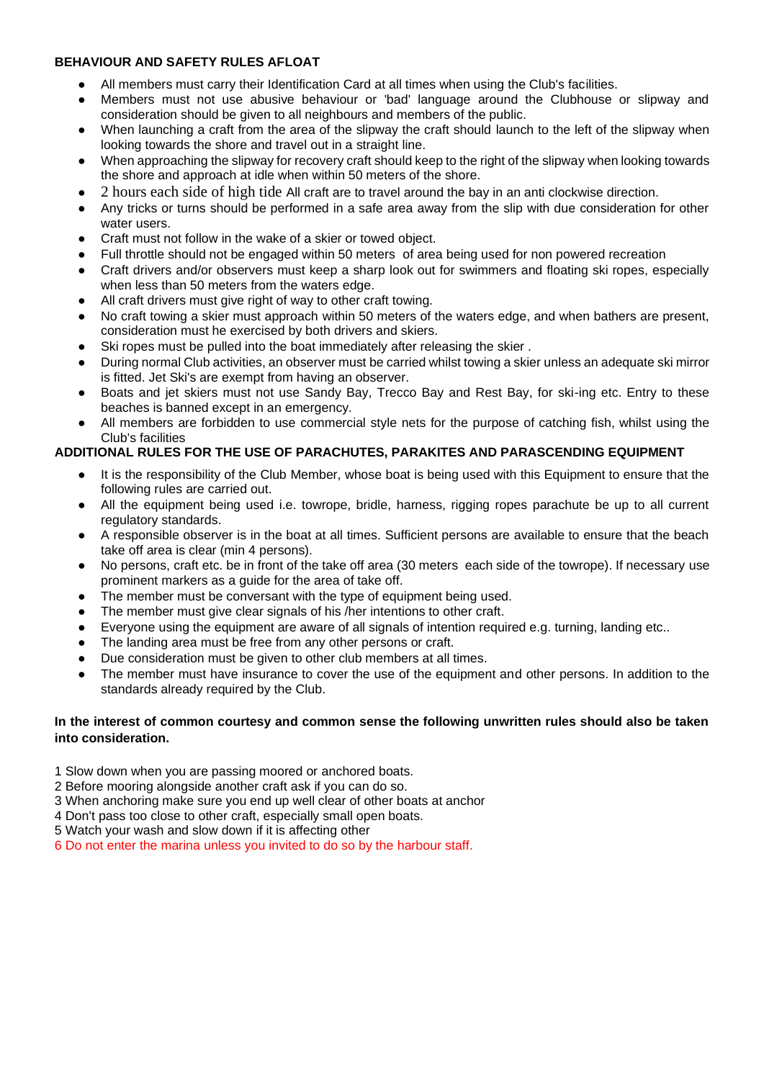# **BEHAVIOUR AND SAFETY RULES AFLOAT**

- All members must carry their Identification Card at all times when using the Club's facilities.
- Members must not use abusive behaviour or 'bad' language around the Clubhouse or slipway and consideration should be given to all neighbours and members of the public.
- When launching a craft from the area of the slipway the craft should launch to the left of the slipway when looking towards the shore and travel out in a straight line.
- When approaching the slipway for recovery craft should keep to the right of the slipway when looking towards the shore and approach at idle when within 50 meters of the shore.
- 2 hours each side of high tide All craft are to travel around the bay in an anti clockwise direction.
- Any tricks or turns should be performed in a safe area away from the slip with due consideration for other water users.
- Craft must not follow in the wake of a skier or towed object.
- Full throttle should not be engaged within 50 meters of area being used for non powered recreation
- Craft drivers and/or observers must keep a sharp look out for swimmers and floating ski ropes, especially when less than 50 meters from the waters edge.
- All craft drivers must give right of way to other craft towing.
- No craft towing a skier must approach within 50 meters of the waters edge, and when bathers are present, consideration must he exercised by both drivers and skiers.
- Ski ropes must be pulled into the boat immediately after releasing the skier.
- During normal Club activities, an observer must be carried whilst towing a skier unless an adequate ski mirror is fitted. Jet Ski's are exempt from having an observer.
- Boats and jet skiers must not use Sandy Bay, Trecco Bay and Rest Bay, for ski-ing etc. Entry to these beaches is banned except in an emergency.
- All members are forbidden to use commercial style nets for the purpose of catching fish, whilst using the Club's facilities

# **ADDITIONAL RULES FOR THE USE OF PARACHUTES, PARAKITES AND PARASCENDING EQUIPMENT**

- It is the responsibility of the Club Member, whose boat is being used with this Equipment to ensure that the following rules are carried out.
- All the equipment being used i.e. towrope, bridle, harness, rigging ropes parachute be up to all current regulatory standards.
- A responsible observer is in the boat at all times. Sufficient persons are available to ensure that the beach take off area is clear (min 4 persons).
- No persons, craft etc. be in front of the take off area (30 meters each side of the towrope). If necessary use prominent markers as a guide for the area of take off.
- The member must be conversant with the type of equipment being used.
- The member must give clear signals of his /her intentions to other craft.
- Everyone using the equipment are aware of all signals of intention required e.g. turning, landing etc..
- The landing area must be free from any other persons or craft.
- Due consideration must be given to other club members at all times.
- The member must have insurance to cover the use of the equipment and other persons. In addition to the standards already required by the Club.

#### **In the interest of common courtesy and common sense the following unwritten rules should also be taken into consideration.**

- 1 Slow down when you are passing moored or anchored boats.
- 2 Before mooring alongside another craft ask if you can do so.
- 3 When anchoring make sure you end up well clear of other boats at anchor
- 4 Don't pass too close to other craft, especially small open boats.
- 5 Watch your wash and slow down if it is affecting other
- 6 Do not enter the marina unless you invited to do so by the harbour staff.